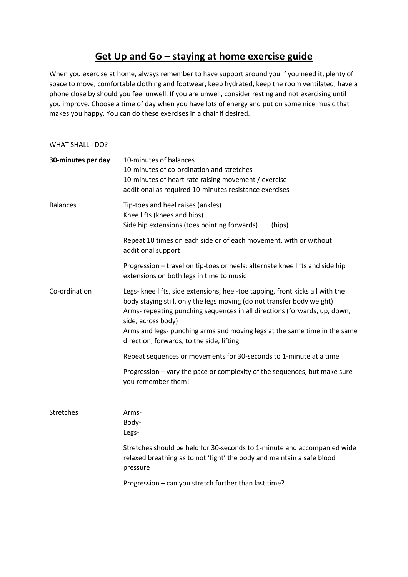## **Get Up and Go – staying at home exercise guide**

When you exercise at home, always remember to have support around you if you need it, plenty of space to move, comfortable clothing and footwear, keep hydrated, keep the room ventilated, have a phone close by should you feel unwell. If you are unwell, consider resting and not exercising until you improve. Choose a time of day when you have lots of energy and put on some nice music that makes you happy. You can do these exercises in a chair if desired.

## WHAT SHALL I DO?

| 30-minutes per day | 10-minutes of balances<br>10-minutes of co-ordination and stretches<br>10-minutes of heart rate raising movement / exercise<br>additional as required 10-minutes resistance exercises                                                                                                                                                                                                |
|--------------------|--------------------------------------------------------------------------------------------------------------------------------------------------------------------------------------------------------------------------------------------------------------------------------------------------------------------------------------------------------------------------------------|
| <b>Balances</b>    | Tip-toes and heel raises (ankles)<br>Knee lifts (knees and hips)<br>Side hip extensions (toes pointing forwards)<br>(hips)                                                                                                                                                                                                                                                           |
|                    | Repeat 10 times on each side or of each movement, with or without<br>additional support                                                                                                                                                                                                                                                                                              |
|                    | Progression - travel on tip-toes or heels; alternate knee lifts and side hip<br>extensions on both legs in time to music                                                                                                                                                                                                                                                             |
| Co-ordination      | Legs- knee lifts, side extensions, heel-toe tapping, front kicks all with the<br>body staying still, only the legs moving (do not transfer body weight)<br>Arms- repeating punching sequences in all directions (forwards, up, down,<br>side, across body)<br>Arms and legs- punching arms and moving legs at the same time in the same<br>direction, forwards, to the side, lifting |
|                    | Repeat sequences or movements for 30-seconds to 1-minute at a time                                                                                                                                                                                                                                                                                                                   |
|                    | Progression – vary the pace or complexity of the sequences, but make sure<br>you remember them!                                                                                                                                                                                                                                                                                      |
| <b>Stretches</b>   | Arms-<br>Body-<br>Legs-                                                                                                                                                                                                                                                                                                                                                              |
|                    | Stretches should be held for 30-seconds to 1-minute and accompanied wide<br>relaxed breathing as to not 'fight' the body and maintain a safe blood<br>pressure                                                                                                                                                                                                                       |
|                    | Progression - can you stretch further than last time?                                                                                                                                                                                                                                                                                                                                |